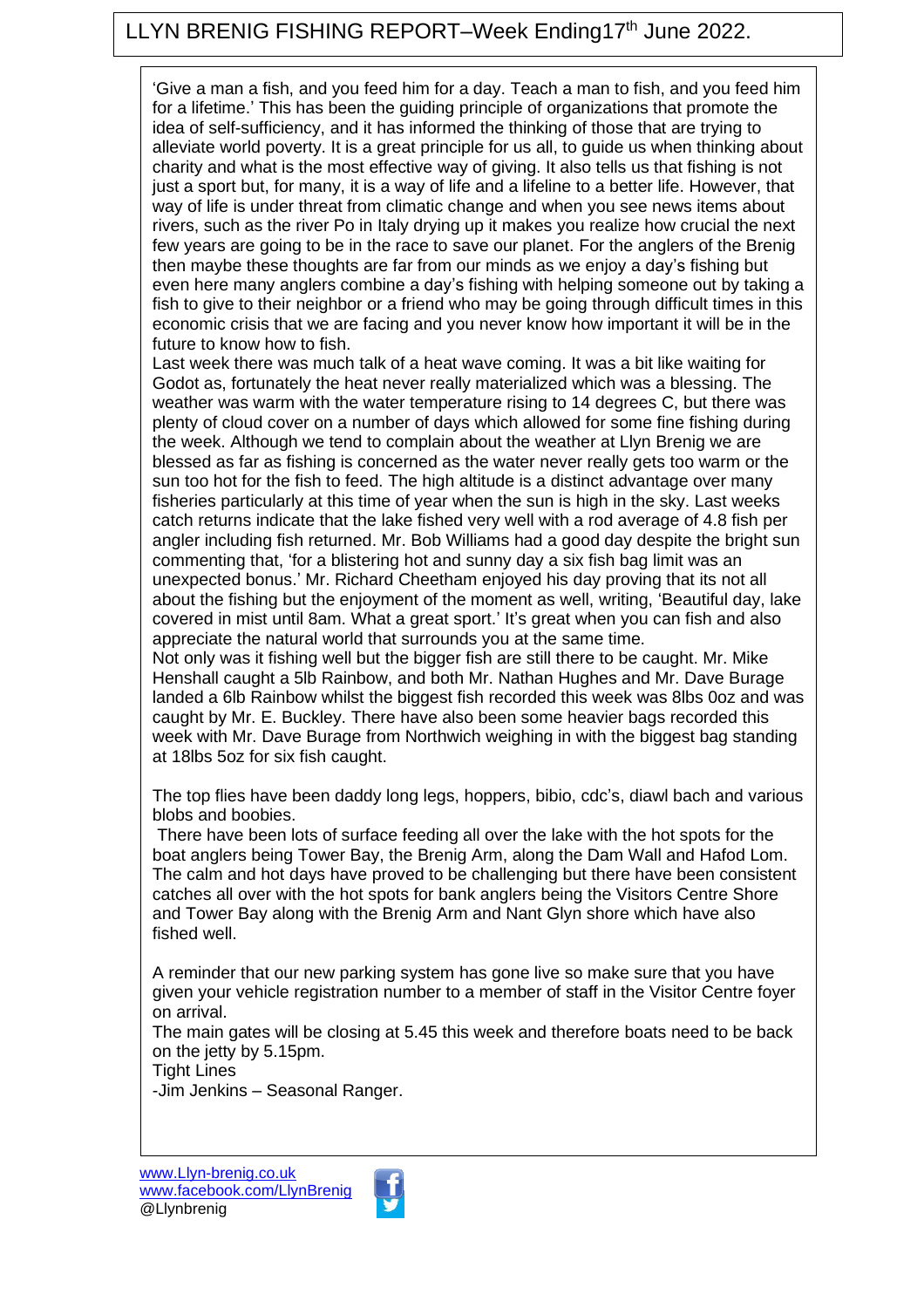## LLYN BRENIG FISHING REPORT–Week Ending17<sup>th</sup> June 2022.

'Give a man a fish, and you feed him for a day. Teach a man to fish, and you feed him for a lifetime.' This has been the guiding principle of organizations that promote the idea of self-sufficiency, and it has informed the thinking of those that are trying to alleviate world poverty. It is a great principle for us all, to guide us when thinking about charity and what is the most effective way of giving. It also tells us that fishing is not just a sport but, for many, it is a way of life and a lifeline to a better life. However, that way of life is under threat from climatic change and when you see news items about rivers, such as the river Po in Italy drying up it makes you realize how crucial the next few years are going to be in the race to save our planet. For the anglers of the Brenig then maybe these thoughts are far from our minds as we enjoy a day's fishing but even here many anglers combine a day's fishing with helping someone out by taking a fish to give to their neighbor or a friend who may be going through difficult times in this economic crisis that we are facing and you never know how important it will be in the future to know how to fish.

Last week there was much talk of a heat wave coming. It was a bit like waiting for Godot as, fortunately the heat never really materialized which was a blessing. The weather was warm with the water temperature rising to 14 degrees C, but there was plenty of cloud cover on a number of days which allowed for some fine fishing during the week. Although we tend to complain about the weather at Llyn Brenig we are blessed as far as fishing is concerned as the water never really gets too warm or the sun too hot for the fish to feed. The high altitude is a distinct advantage over many fisheries particularly at this time of year when the sun is high in the sky. Last weeks catch returns indicate that the lake fished very well with a rod average of 4.8 fish per angler including fish returned. Mr. Bob Williams had a good day despite the bright sun commenting that, 'for a blistering hot and sunny day a six fish bag limit was an unexpected bonus.' Mr. Richard Cheetham enjoyed his day proving that its not all about the fishing but the enjoyment of the moment as well, writing, 'Beautiful day, lake covered in mist until 8am. What a great sport.' It's great when you can fish and also appreciate the natural world that surrounds you at the same time.

Not only was it fishing well but the bigger fish are still there to be caught. Mr. Mike Henshall caught a 5lb Rainbow, and both Mr. Nathan Hughes and Mr. Dave Burage landed a 6lb Rainbow whilst the biggest fish recorded this week was 8lbs 0oz and was caught by Mr. E. Buckley. There have also been some heavier bags recorded this week with Mr. Dave Burage from Northwich weighing in with the biggest bag standing at 18lbs 5oz for six fish caught.

The top flies have been daddy long legs, hoppers, bibio, cdc's, diawl bach and various blobs and boobies.

There have been lots of surface feeding all over the lake with the hot spots for the boat anglers being Tower Bay, the Brenig Arm, along the Dam Wall and Hafod Lom. The calm and hot days have proved to be challenging but there have been consistent catches all over with the hot spots for bank anglers being the Visitors Centre Shore and Tower Bay along with the Brenig Arm and Nant Glyn shore which have also fished well.

A reminder that our new parking system has gone live so make sure that you have given your vehicle registration number to a member of staff in the Visitor Centre foyer on arrival.

The main gates will be closing at 5.45 this week and therefore boats need to be back on the jetty by 5.15pm.

Tight Lines

-Jim Jenkins – Seasonal Ranger.